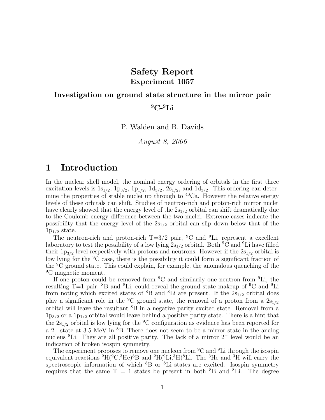## Safety Report Experiment 1057

# Investigation on ground state structure in the mirror pair  $^{9}C-^{9}Li$

P. Walden and B. Davids

August 8, 2006

## 1 Introduction

In the nuclear shell model, the nominal energy ordering of orbitals in the first three excitation levels is  $1s_{1/2}$ ,  $1p_{3/2}$ ,  $1p_{1/2}$ ,  $1d_{5/2}$ ,  $2s_{1/2}$ , and  $1d_{3/2}$ . This ordering can determine the properties of stable nuclei up through to  ${}^{40}Ca$ . However the relative energy levels of these orbitals can shift. Studies of neutron-rich and proton-rich mirror nuclei have clearly showed that the energy level of the  $2s_{1/2}$  orbital can shift dramatically due to the Coulomb energy difference between the two nuclei. Extreme cases indicate the possibility that the energy level of the  $2s_{1/2}$  orbital can slip down below that of the  $1p_{1/2}$  state.

The neutron-rich and proton-rich  $T=3/2$  pair, <sup>9</sup>C and <sup>9</sup>Li, represent a excellent laboratory to test the possibility of a low lying  $2s_{1/2}$  orbital. Both  ${}^{9}C$  and  ${}^{9}Li$  have filled their  $1p_{3/2}$  level respectively with protons and neutrons. However if the  $2s_{1/2}$  orbital is low lying for the <sup>9</sup>C case, there is the possibility it could form a significant fraction of the <sup>9</sup>C ground state. This could explain, for example, the anomalous quenching of the <sup>9</sup>C magnetic moment.

If one proton could be removed from  ${}^{9}C$  and similarily one neutron from  ${}^{9}Li$ , the resulting T=1 pair,  ${}^{8}B$  and  ${}^{8}Li$ , could reveal the ground state makeup of  ${}^{9}C$  and  ${}^{9}Li$ from noting which excited states of  ${}^{8}B$  and  ${}^{8}Li$  are present. If the  $2s_{1/2}$  orbital does play a significant role in the <sup>9</sup>C ground state, the removal of a proton from a  $2s_{1/2}$ orbital will leave the resultant <sup>8</sup>B in a negative parity excited state. Removal from a  $1p_{3/2}$  or a  $1p_{1/2}$  orbital would leave behind a positive parity state. There is a hint that the  $2s_{1/2}$  orbital is low lying for the <sup>9</sup>C configuration as evidence has been reported for a 2<sup>−</sup> state at 3.5 MeV in <sup>8</sup>B. There does not seem to be a mirror state in the analog nucleus <sup>8</sup>Li. They are all positive parity. The lack of a mirror 2<sup>−</sup> level would be an indication of broken isospin symmetry.

The experiment proposes to remove one nucleon from  ${}^{9}C$  and  ${}^{9}Li$  through the isospin equivalent reactions  ${}^{2}\text{H}(^{9}\text{C},^{3}\text{He})^{8}\text{B}$  and  ${}^{2}\text{H}(^{9}\text{Li},^{3}\text{H})^{8}\text{Li}$ . The  ${}^{3}\text{He}$  and  ${}^{3}\text{H}$  will carry the spectroscopic information of which  ${}^{8}B$  or  ${}^{8}Li$  states are excited. Isospin symmetry requires that the same  $T = 1$  states be present in both <sup>8</sup>B and <sup>8</sup>Li. The degree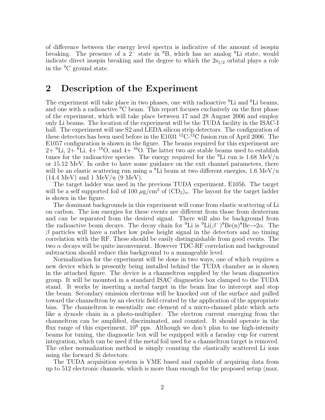of difference between the energy level spectra is indicative of the amount of isospin breaking. The presence of a  $2^-$  state in  ${}^8B$ , which has no analog  ${}^8Li$  state, would indicate direct isospin breaking and the degree to which the  $2s_{1/2}$  orbital plays a role in the <sup>9</sup>C ground state.

#### 2 Description of the Experiment

The experiment will take place in two phases, one with radioactive <sup>9</sup>Li and <sup>8</sup>Li beams, and one with a radioactive <sup>9</sup>C beam. This report focuses exclusively on the first phase of the experiment, which will take place between 17 and 28 August 2006 and employ only Li beams. The location of the experiment will be the TUDA facility in the ISAC-I hall. The experiment will use S2 and LEDA silicon strip detectors. The configuration of these detectors has been used before in the E1031<sup>12</sup>C-<sup>12</sup>C fusion run of April 2006. The E1057 configuration is shown in the figure. The beams required for this experiment are  $2+{}^{9}Li$ ,  $2+{}^{8}Li$ ,  $4+{}^{18}O$ , and  $4+{}^{16}O$ . The latter two are stable beams used to establish tunes for the radioactive species. The energy required for the  ${}^{9}$ Li run is 1.68 MeV/u or 15.12 MeV. In order to have some guidance on the exit channel parameters, there will be an elastic scattering run using a  ${}^{8}$ Li beam at two different energies, 1.6 MeV/u  $(14.4 \text{ MeV})$  and 1 MeV/u  $(9 \text{ MeV})$ .

The target ladder was used in the previous TUDA experiment, E1056. The target will be a self supported foil of 100  $\mu$ g/cm<sup>2</sup> of  $(CD_2)_n$ . The layout for the target ladder is shown in the figure.

The dominant backgrounds in this experiment will come from elastic scattering of Li on carbon. The ion energies for these events are different from those from deuterium and can be separated from the desired signal. There will also be background from the radioactive beam decays. The decay chain for <sup>9</sup>Li is <sup>9</sup>Li( $\beta$ <sup>-</sup>)<sup>9</sup>Be(n)<sup>8</sup>Be $\rightarrow$ 2 $\alpha$ . The  $\beta$  particles will have a rather low pulse height signal in the detectors and no timing correlation with the RF. These should be easily distinguishable from good events. The two  $\alpha$  decays will be quite inconvenient. However TDC-RF correlation and background subtraction should reduce this background to a manageable level.

Normalization for the experiment will be done in two ways, one of which requires a new device which is presently being installed behind the TUDA chamber as is shown in the attached figure. The device is a channeltron supplied by the beam diagnostics group. It will be mounted in a standard ISAC diagnostics box clamped to the TUDA stand. It works by inserting a metal target in the beam line to intercept and stop the beam. Secondary emission electrons will be knocked out of the surface and pulled toward the channeltron by an electric field created by the application of the appropriate bias. The channeltron is essentially one element of a micro-channel plate which acts like a dynode chain in a photo-multiplier. The electron current emerging from the channeltron can be amplified, discriminated, and counted. It should operate in the flux range of this experiment,  $10^6$  pps. Although we don't plan to use high-intensity beams for tuning, the diagnostic box will be equipped with a faraday cup for current integration, which can be used if the metal foil used for a channeltron target is removed. The other normalization method is simply counting the elastically scattered Li ions using the forward Si detectors.

The TUDA acquisition system is VME based and capable of acquiring data from up to 512 electronic channels, which is more than enough for the proposed setup (max.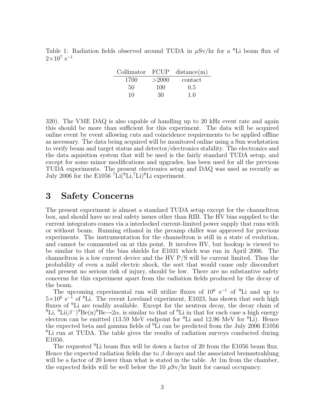Table 1: Radiation fields observed around TUDA in  $\mu$ Sv/hr for a <sup>8</sup>Li beam flux of  $2\times10^{7}$  s<sup>-1</sup>

|      |       | $\text{Collimator}$ $\text{FCUP}$ distance(m) |
|------|-------|-----------------------------------------------|
| 1700 | >2000 | contact                                       |
| 50   | 100   | 0.5                                           |
| 10   | 30    | 1.0                                           |

320). The VME DAQ is also capable of handling up to 20 kHz event rate and again this should be more than sufficient for this experiment. The data will be acquired online event by event allowing cuts and coincidence requirements to be applied offline as necessary. The data being acquired will be monitored online using a Sun workstation to verify beam and target status and detector/electronics stability. The electronics and the data aquisition system that will be used is the fairly standard TUDA setup, and except for some minor modifications and upgrades, has been used for all the previous TUDA experiments. The present electronics setup and DAQ was used as recently as July 2006 for the E1056  $^7$ Li( $^8$ Li, $^7$ Li) $^8$ Li experiment.

#### 3 Safety Concerns

The present experiment is almost a standard TUDA setup except for the channeltron box, and should have no real safety issues other than RIB. The HV bias supplied to the current integrators comes via a interlocked current-limited power supply that runs with or without beam. Running ethanol in the preamp chiller was approved for previous experiments. The instrumentation for the channeltron is still in a state of evolution, and cannot be commented on at this point. It involves HV, but hookup is viewed to be similar to that of the bias shields for E1031 which was run in April 2006. The channeltron is a low current device and the HV P/S will be current limited. Thus the probability of even a mild electric shock, the sort that would cause only discomfort and present no serious risk of injury, should be low. There are no substantive safety concerns for this experiment apart from the radiation fields produced by the decay of the beam.

The upcoming experimental run will utilize fluxes of  $10^6$  s<sup>-1</sup> of <sup>9</sup>Li and up to  $5\times10^6$  s<sup>-1</sup> of <sup>8</sup>Li. The recent Loveland experiment, E1023, has shown that such high fluxes of <sup>9</sup>Li are readily available. Except for the neutron decay, the decay chain of <sup>9</sup>Li, <sup>9</sup>Li( $\beta$ <sup>-</sup>)<sup>9</sup>Be(n)<sup>8</sup>Be→2 $\alpha$ , is similar to that of <sup>8</sup>Li in that for each case a high energy electron can be emitted (13.59 MeV endpoint for  ${}^{9}$ Li and 12.96 MeV for  ${}^{8}$ Li). Hence the expected beta and gamma fields of <sup>9</sup>Li can be predicted from the July 2006 E1056 <sup>8</sup>Li run at TUDA. The table gives the results of radiation surveys conducted during E1056.

The requested <sup>9</sup>Li beam flux will be down a factor of 20 from the E1056 beam flux. Hence the expected radiation fields due to  $\beta$  decays and the associated bremsstrahlung will be a factor of 20 lower than what is stated in the table. At 1m from the chamber, the expected fields will be well below the 10  $\mu$ Sv/hr limit for casual occupancy.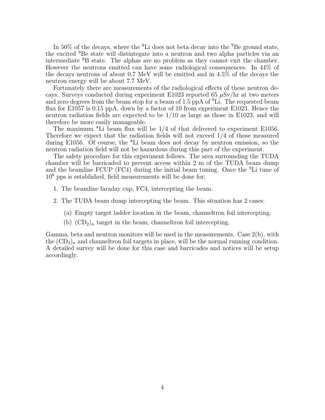In 50% of the decays, where the  ${}^{9}$ Li does not beta decay into the  ${}^{9}$ Be ground state, the excited <sup>9</sup>Be state will distintegate into a neutron and two alpha particles via an intermediate <sup>8</sup>B state. The alphas are no problem as they cannot exit the chamber. However the neutrons emitted can have some radiological consequences. In 44% of the decays neutrons of about 0.7 MeV will be emitted and in 4.5% of the decays the neutron energy will be about 7.7 MeV.

Fortunately there are measurements of the radiological effects of these neutron decays. Surveys conducted during experiment E1023 reported 65  $\mu$ Sv/hr at two meters and zero degrees from the beam stop for a beam of 1.5 ppA of  ${}^{9}$ Li. The requested beam flux for E1057 is 0.15 ppA, down by a factor of 10 from experiment E1023. Hence the neutron radiation fields are expected to be 1/10 as large as those in E1023, and will therefore be more easily manageable.

The maximum <sup>8</sup>Li beam flux will be  $1/4$  of that delivered to experiment E1056. Therefore we expect that the radiation fields will not exceed 1/4 of those measured during E1056. Of course, the <sup>8</sup>Li beam does not decay by neutron emission, so the neutron radiation field will not be hazardous during this part of the experiment.

The safety procedure for this experiment follows. The area surrounding the TUDA chamber will be barricaded to prevent access within 2 m of the TUDA beam dump and the beamline FCUP (FC4) during the initial beam tuning. Once the  ${}^{9}$ Li tune of  $10<sup>6</sup>$  pps is established, field measurements will be done for:

- 1. The beamline faraday cup, FC4, intercepting the beam.
- 2. The TUDA beam dump intercepting the beam. This situation has 2 cases:
	- (a) Empty target ladder location in the beam, channeltron foil intercepting.
	- (b)  $(CD_2)_n$  target in the beam, channeltron foil intercepting.

Gamma, beta and neutron monitors will be used in the measurements. Case  $2(b)$ , with the  $(CD_2)_n$  and channeltron foil targets in place, will be the normal running condition. A detailed survey will be done for this case and barricades and notices will be setup accordingly.